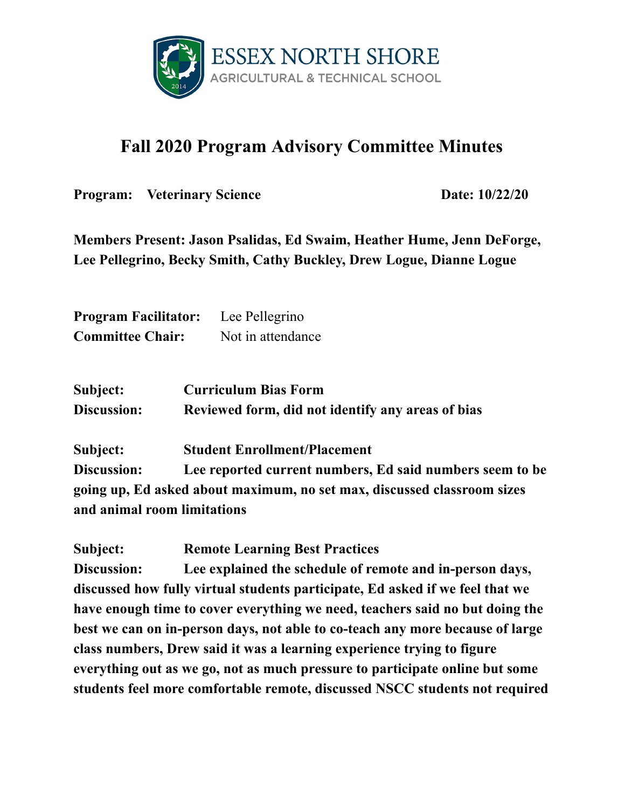

## **Fall 2020 Program Advisory Committee Minutes**

**Program:** Veterinary Science **Date:** 10/22/20

**Members Present: Jason Psalidas, Ed Swaim, Heather Hume, Jenn DeForge, Lee Pellegrino, Becky Smith, Cathy Buckley, Drew Logue, Dianne Logue**

**Program Facilitator:** Lee Pellegrino **Committee Chair:** Not in attendance

| Subject:           | <b>Curriculum Bias Form</b>                       |
|--------------------|---------------------------------------------------|
| <b>Discussion:</b> | Reviewed form, did not identify any areas of bias |

**Subject: Student Enrollment/Placement**

**Discussion: Lee reported current numbers, Ed said numbers seem to be going up, Ed asked about maximum, no set max, discussed classroom sizes and animal room limitations**

**Subject: Remote Learning Best Practices Discussion: Lee explained the schedule of remote and in-person days, discussed how fully virtual students participate, Ed asked if we feel that we have enough time to cover everything we need, teachers said no but doing the best we can on in-person days, not able to co-teach any more because of large class numbers, Drew said it was a learning experience trying to figure everything out as we go, not as much pressure to participate online but some students feel more comfortable remote, discussed NSCC students not required**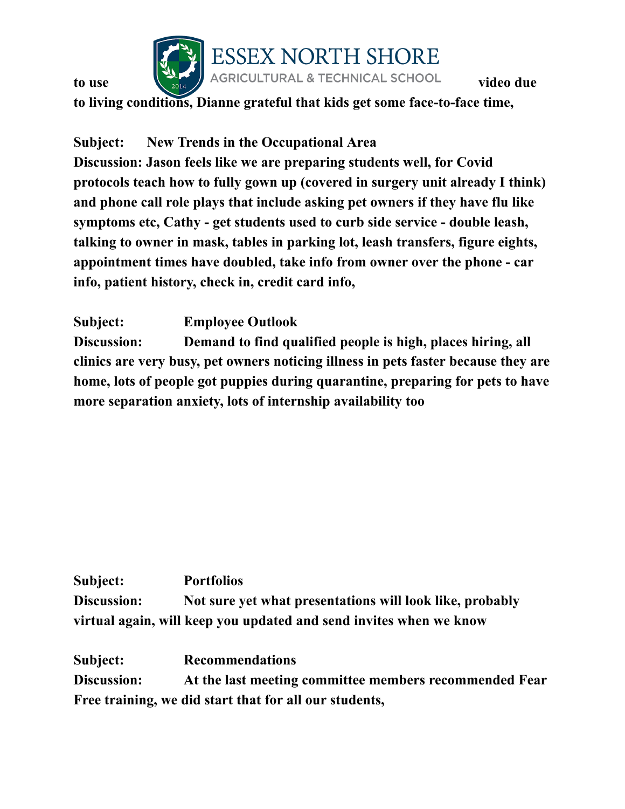

## **to** use  $\left[\begin{matrix} 1 & 1 \\ 1 & 2 \end{matrix}\right)$  ESSEX NORTH SHORE<br>**to** use video due

**to living conditions, Dianne grateful that kids get some face-to-face time,**

**Subject: New Trends in the Occupational Area**

**Discussion: Jason feels like we are preparing students well, for Covid protocols teach how to fully gown up (covered in surgery unit already I think) and phone call role plays that include asking pet owners if they have flu like symptoms etc, Cathy - get students used to curb side service - double leash, talking to owner in mask, tables in parking lot, leash transfers, figure eights, appointment times have doubled, take info from owner over the phone - car info, patient history, check in, credit card info,**

**Subject: Employee Outlook Discussion: Demand to find qualified people is high, places hiring, all clinics are very busy, pet owners noticing illness in pets faster because they are home, lots of people got puppies during quarantine, preparing for pets to have more separation anxiety, lots of internship availability too**

**Subject: Portfolios Discussion: Not sure yet what presentations will look like, probably virtual again, will keep you updated and send invites when we know**

**Subject: Recommendations Discussion: At the last meeting committee members recommended Fear Free training, we did start that for all our students,**